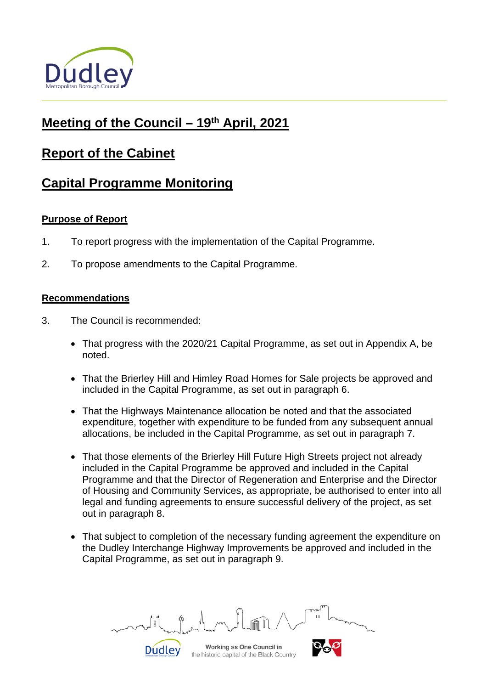

# **Meeting of the Council – 19th April, 2021**

# **Report of the Cabinet**

# **Capital Programme Monitoring**

# **Purpose of Report**

- 1. To report progress with the implementation of the Capital Programme.
- 2. To propose amendments to the Capital Programme.

# **Recommendations**

- 3. The Council is recommended:
	- That progress with the 2020/21 Capital Programme, as set out in Appendix A, be noted.
	- That the Brierley Hill and Himley Road Homes for Sale projects be approved and included in the Capital Programme, as set out in paragraph 6.
	- That the Highways Maintenance allocation be noted and that the associated expenditure, together with expenditure to be funded from any subsequent annual allocations, be included in the Capital Programme, as set out in paragraph 7.
	- That those elements of the Brierley Hill Future High Streets project not already included in the Capital Programme be approved and included in the Capital Programme and that the Director of Regeneration and Enterprise and the Director of Housing and Community Services, as appropriate, be authorised to enter into all legal and funding agreements to ensure successful delivery of the project, as set out in paragraph 8.
	- That subject to completion of the necessary funding agreement the expenditure on the Dudley Interchange Highway Improvements be approved and included in the Capital Programme, as set out in paragraph 9.

**Dudley** 

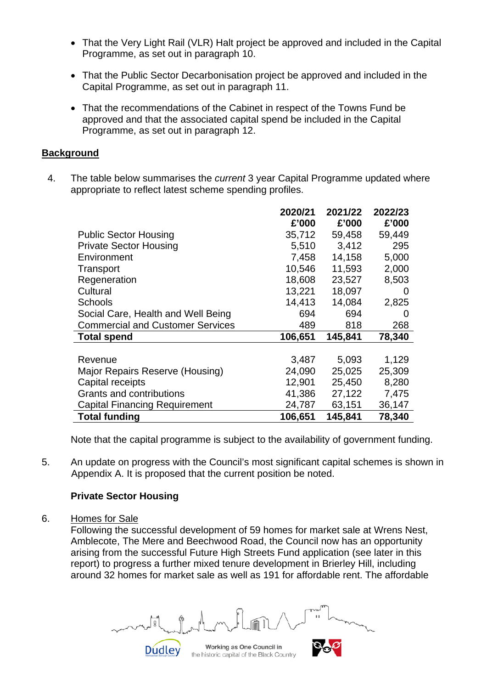- That the Very Light Rail (VLR) Halt project be approved and included in the Capital Programme, as set out in paragraph 10.
- That the Public Sector Decarbonisation project be approved and included in the Capital Programme, as set out in paragraph 11.
- That the recommendations of the Cabinet in respect of the Towns Fund be approved and that the associated capital spend be included in the Capital Programme, as set out in paragraph 12.

# **Background**

4. The table below summarises the *current* 3 year Capital Programme updated where appropriate to reflect latest scheme spending profiles.

|                                         | 2020/21 | 2021/22 | 2022/23 |
|-----------------------------------------|---------|---------|---------|
|                                         | £'000   | £'000   | £'000   |
| <b>Public Sector Housing</b>            | 35,712  | 59,458  | 59,449  |
| <b>Private Sector Housing</b>           | 5,510   | 3,412   | 295     |
| Environment                             | 7,458   | 14,158  | 5,000   |
| Transport                               | 10,546  | 11,593  | 2,000   |
| Regeneration                            | 18,608  | 23,527  | 8,503   |
| Cultural                                | 13,221  | 18,097  | 0       |
| <b>Schools</b>                          | 14,413  | 14,084  | 2,825   |
| Social Care, Health and Well Being      | 694     | 694     | 0       |
| <b>Commercial and Customer Services</b> | 489     | 818     | 268     |
| <b>Total spend</b>                      | 106,651 | 145,841 | 78,340  |
|                                         |         |         |         |
| Revenue                                 | 3,487   | 5,093   | 1,129   |
| Major Repairs Reserve (Housing)         | 24,090  | 25,025  | 25,309  |
| Capital receipts                        | 12,901  | 25,450  | 8,280   |
| Grants and contributions                | 41,386  | 27,122  | 7,475   |
| <b>Capital Financing Requirement</b>    | 24,787  | 63,151  | 36,147  |
| <b>Total funding</b>                    | 106,651 | 145,841 | 78,340  |

Note that the capital programme is subject to the availability of government funding.

5. An update on progress with the Council's most significant capital schemes is shown in Appendix A. It is proposed that the current position be noted.

# **Private Sector Housing**

**Dudley** 

6. Homes for Sale

Following the successful development of 59 homes for market sale at Wrens Nest, Amblecote, The Mere and Beechwood Road, the Council now has an opportunity arising from the successful Future High Streets Fund application (see later in this report) to progress a further mixed tenure development in Brierley Hill, including around 32 homes for market sale as well as 191 for affordable rent. The affordable

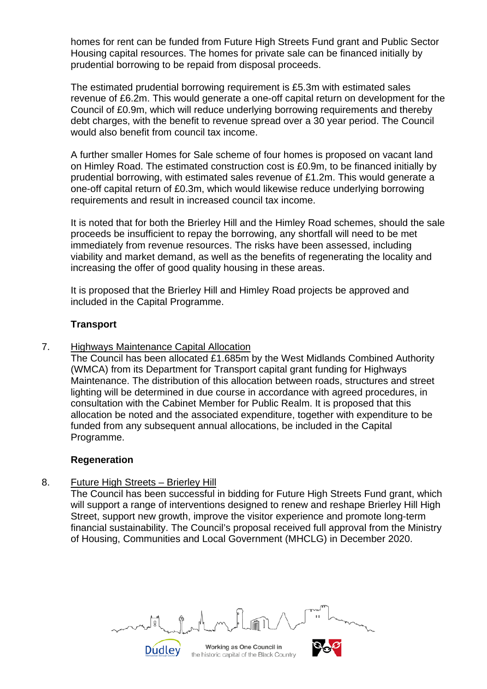homes for rent can be funded from Future High Streets Fund grant and Public Sector Housing capital resources. The homes for private sale can be financed initially by prudential borrowing to be repaid from disposal proceeds.

The estimated prudential borrowing requirement is £5.3m with estimated sales revenue of £6.2m. This would generate a one-off capital return on development for the Council of £0.9m, which will reduce underlying borrowing requirements and thereby debt charges, with the benefit to revenue spread over a 30 year period. The Council would also benefit from council tax income.

A further smaller Homes for Sale scheme of four homes is proposed on vacant land on Himley Road. The estimated construction cost is £0.9m, to be financed initially by prudential borrowing, with estimated sales revenue of £1.2m. This would generate a one-off capital return of £0.3m, which would likewise reduce underlying borrowing requirements and result in increased council tax income.

It is noted that for both the Brierley Hill and the Himley Road schemes, should the sale proceeds be insufficient to repay the borrowing, any shortfall will need to be met immediately from revenue resources. The risks have been assessed, including viability and market demand, as well as the benefits of regenerating the locality and increasing the offer of good quality housing in these areas.

It is proposed that the Brierley Hill and Himley Road projects be approved and included in the Capital Programme.

# **Transport**

7. Highways Maintenance Capital Allocation

The Council has been allocated £1.685m by the West Midlands Combined Authority (WMCA) from its Department for Transport capital grant funding for Highways Maintenance. The distribution of this allocation between roads, structures and street lighting will be determined in due course in accordance with agreed procedures, in consultation with the Cabinet Member for Public Realm. It is proposed that this allocation be noted and the associated expenditure, together with expenditure to be funded from any subsequent annual allocations, be included in the Capital Programme.

#### **Regeneration**

# 8. Future High Streets – Brierley Hill

**Dudley** 

The Council has been successful in bidding for Future High Streets Fund grant, which will support a range of interventions designed to renew and reshape Brierley Hill High Street, support new growth, improve the visitor experience and promote long-term financial sustainability. The Council's proposal received full approval from the Ministry of Housing, Communities and Local Government (MHCLG) in December 2020.

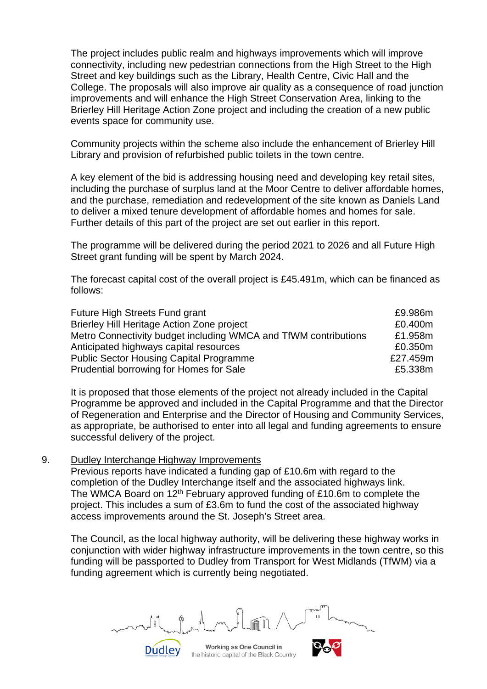The project includes public realm and highways improvements which will improve connectivity, including new pedestrian connections from the High Street to the High Street and key buildings such as the Library, Health Centre, Civic Hall and the College. The proposals will also improve air quality as a consequence of road junction improvements and will enhance the High Street Conservation Area, linking to the Brierley Hill Heritage Action Zone project and including the creation of a new public events space for community use.

Community projects within the scheme also include the enhancement of Brierley Hill Library and provision of refurbished public toilets in the town centre.

A key element of the bid is addressing housing need and developing key retail sites, including the purchase of surplus land at the Moor Centre to deliver affordable homes, and the purchase, remediation and redevelopment of the site known as Daniels Land to deliver a mixed tenure development of affordable homes and homes for sale. Further details of this part of the project are set out earlier in this report.

The programme will be delivered during the period 2021 to 2026 and all Future High Street grant funding will be spent by March 2024.

The forecast capital cost of the overall project is £45.491m, which can be financed as follows:

| Future High Streets Fund grant                                  | £9.986m  |
|-----------------------------------------------------------------|----------|
| Brierley Hill Heritage Action Zone project                      | £0.400m  |
| Metro Connectivity budget including WMCA and TfWM contributions | £1.958m  |
| Anticipated highways capital resources                          | £0.350m  |
| <b>Public Sector Housing Capital Programme</b>                  | £27.459m |
| Prudential borrowing for Homes for Sale                         | £5.338m  |

It is proposed that those elements of the project not already included in the Capital Programme be approved and included in the Capital Programme and that the Director of Regeneration and Enterprise and the Director of Housing and Community Services, as appropriate, be authorised to enter into all legal and funding agreements to ensure successful delivery of the project.

#### 9. Dudley Interchange Highway Improvements

Dudley

Previous reports have indicated a funding gap of £10.6m with regard to the completion of the Dudley Interchange itself and the associated highways link. The WMCA Board on  $12^{th}$  February approved funding of £10.6m to complete the project. This includes a sum of £3.6m to fund the cost of the associated highway access improvements around the St. Joseph's Street area.

The Council, as the local highway authority, will be delivering these highway works in conjunction with wider highway infrastructure improvements in the town centre, so this funding will be passported to Dudley from Transport for West Midlands (TfWM) via a funding agreement which is currently being negotiated.

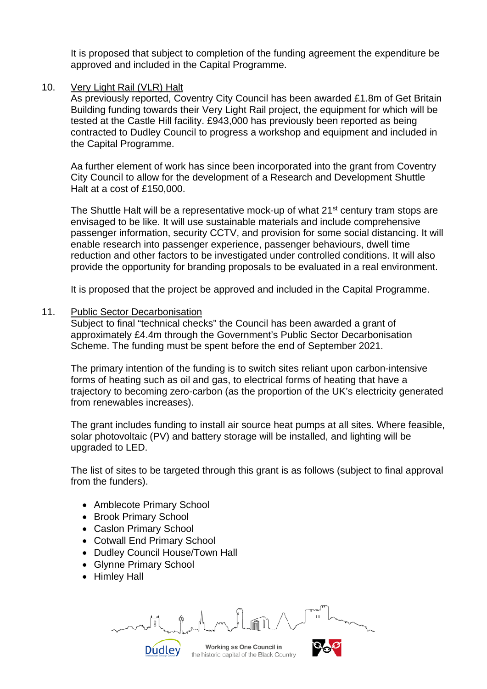It is proposed that subject to completion of the funding agreement the expenditure be approved and included in the Capital Programme.

# 10. Very Light Rail (VLR) Halt

As previously reported, Coventry City Council has been awarded £1.8m of Get Britain Building funding towards their Very Light Rail project, the equipment for which will be tested at the Castle Hill facility. £943,000 has previously been reported as being contracted to Dudley Council to progress a workshop and equipment and included in the Capital Programme.

Aa further element of work has since been incorporated into the grant from Coventry City Council to allow for the development of a Research and Development Shuttle Halt at a cost of £150,000.

The Shuttle Halt will be a representative mock-up of what 21<sup>st</sup> century tram stops are envisaged to be like. It will use sustainable materials and include comprehensive passenger information, security CCTV, and provision for some social distancing. It will enable research into passenger experience, passenger behaviours, dwell time reduction and other factors to be investigated under controlled conditions. It will also provide the opportunity for branding proposals to be evaluated in a real environment.

It is proposed that the project be approved and included in the Capital Programme.

# 11. Public Sector Decarbonisation

Subject to final "technical checks" the Council has been awarded a grant of approximately £4.4m through the Government's Public Sector Decarbonisation Scheme. The funding must be spent before the end of September 2021.

The primary intention of the funding is to switch sites reliant upon carbon-intensive forms of heating such as oil and gas, to electrical forms of heating that have a trajectory to becoming zero-carbon (as the proportion of the UK's electricity generated from renewables increases).

The grant includes funding to install air source heat pumps at all sites. Where feasible, solar photovoltaic (PV) and battery storage will be installed, and lighting will be upgraded to LED.

The list of sites to be targeted through this grant is as follows (subject to final approval from the funders).

- Amblecote Primary School
- Brook Primary School
- Caslon Primary School
- Cotwall End Primary School
- Dudley Council House/Town Hall
- Glynne Primary School
- Himley Hall

Working as One Council in **Dudley** 

the historic capital of the Black Country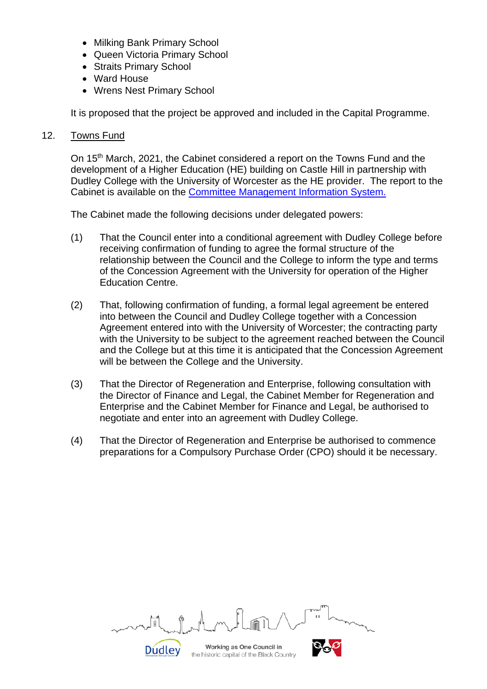- Milking Bank Primary School
- Queen Victoria Primary School
- Straits Primary School
- Ward House
- Wrens Nest Primary School

It is proposed that the project be approved and included in the Capital Programme.

#### 12. Towns Fund

On 15<sup>th</sup> March, 2021, the Cabinet considered a report on the Towns Fund and the development of a Higher Education (HE) building on Castle Hill in partnership with Dudley College with the University of Worcester as the HE provider. The report to the Cabinet is available on the [Committee Management Information System.](http://cmis.dudley.gov.uk/CMIS5/Document.ashx?czJKcaeAi5tUFL1DTL2UE4zNRBcoShgo=yb24Ac%2fOZnayKLA2dwslPR7PVPYN01zdbCRy5VGFwXRWsmPObML%2bWA%3d%3d&rUzwRPf%2bZ3zd4E7Ikn8Lyw%3d%3d=pwRE6AGJFLDNlh225F5QMaQWCtPHwdhUfCZ%2fLUQzgA2uL5jNRG4jdQ%3d%3d&mCTIbCubSFfXsDGW9IXnlg%3d%3d=hFflUdN3100%3d&kCx1AnS9%2fpWZQ40DXFvdEw%3d%3d=hFflUdN3100%3d&uJovDxwdjMPoYv%2bAJvYtyA%3d%3d=ctNJFf55vVA%3d&FgPlIEJYlotS%2bYGoBi5olA%3d%3d=NHdURQburHA%3d&d9Qjj0ag1Pd993jsyOJqFvmyB7X0CSQK=ctNJFf55vVA%3d&WGewmoAfeNR9xqBux0r1Q8Za60lavYmz=ctNJFf55vVA%3d&WGewmoAfeNQ16B2MHuCpMRKZMwaG1PaO=ctNJFf55vVA%3d)

The Cabinet made the following decisions under delegated powers:

- (1) That the Council enter into a conditional agreement with Dudley College before receiving confirmation of funding to agree the formal structure of the relationship between the Council and the College to inform the type and terms of the Concession Agreement with the University for operation of the Higher Education Centre.
- (2) That, following confirmation of funding, a formal legal agreement be entered into between the Council and Dudley College together with a Concession Agreement entered into with the University of Worcester; the contracting party with the University to be subject to the agreement reached between the Council and the College but at this time it is anticipated that the Concession Agreement will be between the College and the University.
- (3) That the Director of Regeneration and Enterprise, following consultation with the Director of Finance and Legal, the Cabinet Member for Regeneration and Enterprise and the Cabinet Member for Finance and Legal, be authorised to negotiate and enter into an agreement with Dudley College.
- (4) That the Director of Regeneration and Enterprise be authorised to commence preparations for a Compulsory Purchase Order (CPO) should it be necessary.

|                          | m<br><b>Const</b>                                                      | ar-<br><b>TUW-</b><br>$\mathbf{H}$ |
|--------------------------|------------------------------------------------------------------------|------------------------------------|
| $^{\sim}$ નાev $^{\sim}$ | Working as One Council in<br>the historic capital of the Black Country |                                    |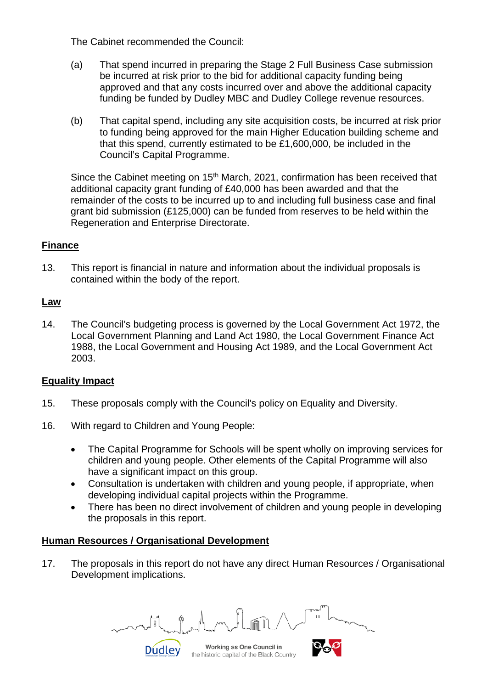The Cabinet recommended the Council:

- (a) That spend incurred in preparing the Stage 2 Full Business Case submission be incurred at risk prior to the bid for additional capacity funding being approved and that any costs incurred over and above the additional capacity funding be funded by Dudley MBC and Dudley College revenue resources.
- (b) That capital spend, including any site acquisition costs, be incurred at risk prior to funding being approved for the main Higher Education building scheme and that this spend, currently estimated to be £1,600,000, be included in the Council's Capital Programme.

Since the Cabinet meeting on  $15<sup>th</sup>$  March, 2021, confirmation has been received that additional capacity grant funding of £40,000 has been awarded and that the remainder of the costs to be incurred up to and including full business case and final grant bid submission (£125,000) can be funded from reserves to be held within the Regeneration and Enterprise Directorate.

# **Finance**

13. This report is financial in nature and information about the individual proposals is contained within the body of the report.

# **Law**

14. The Council's budgeting process is governed by the Local Government Act 1972, the Local Government Planning and Land Act 1980, the Local Government Finance Act 1988, the Local Government and Housing Act 1989, and the Local Government Act 2003.

#### **Equality Impact**

- 15. These proposals comply with the Council's policy on Equality and Diversity.
- 16. With regard to Children and Young People:
	- The Capital Programme for Schools will be spent wholly on improving services for children and young people. Other elements of the Capital Programme will also have a significant impact on this group.
	- Consultation is undertaken with children and young people, if appropriate, when developing individual capital projects within the Programme.
	- There has been no direct involvement of children and young people in developing the proposals in this report.

# **Human Resources / Organisational Development**

**Dudley** 

17. The proposals in this report do not have any direct Human Resources / Organisational Development implications.

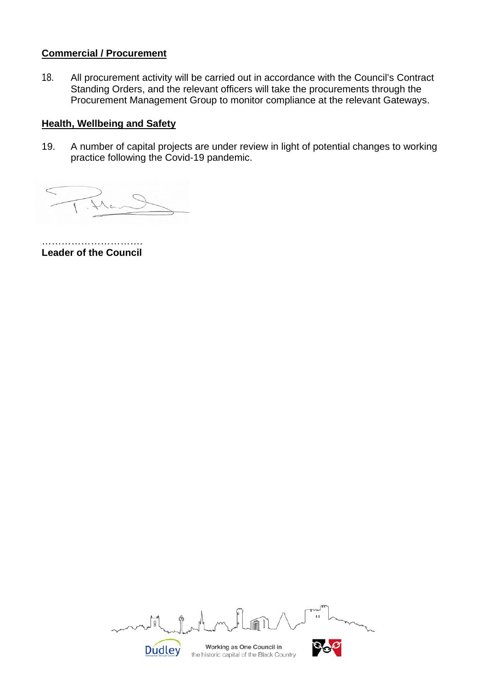# **Commercial / Procurement**

18. All procurement activity will be carried out in accordance with the Council's Contract Standing Orders, and the relevant officers will take the procurements through the Procurement Management Group to monitor compliance at the relevant Gateways.

# **Health, Wellbeing and Safety**

19. A number of capital projects are under review in light of potential changes to working practice following the Covid-19 pandemic.

……………………… **Leader of the Council**

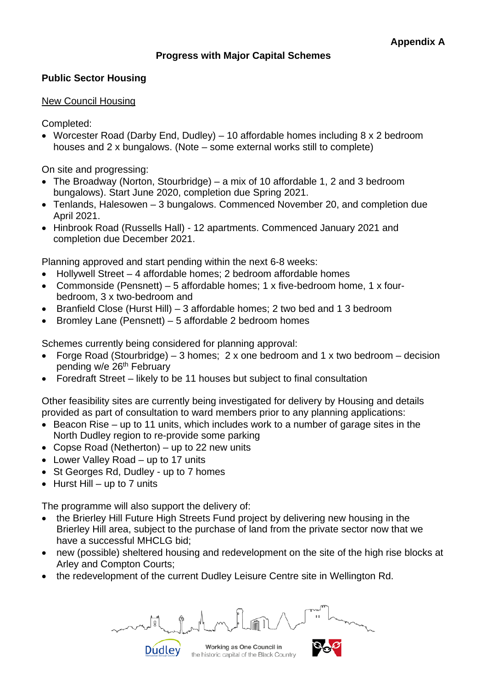# **Progress with Major Capital Schemes**

# **Public Sector Housing**

#### New Council Housing

Completed:

• Worcester Road (Darby End, Dudley) – 10 affordable homes including 8 x 2 bedroom houses and 2 x bungalows. (Note – some external works still to complete)

On site and progressing:

- The Broadway (Norton, Stourbridge) a mix of 10 affordable 1, 2 and 3 bedroom bungalows). Start June 2020, completion due Spring 2021.
- Tenlands, Halesowen 3 bungalows. Commenced November 20, and completion due April 2021.
- Hinbrook Road (Russells Hall) 12 apartments. Commenced January 2021 and completion due December 2021.

Planning approved and start pending within the next 6-8 weeks:

- Hollywell Street 4 affordable homes; 2 bedroom affordable homes
- Commonside (Pensnett) 5 affordable homes; 1 x five-bedroom home, 1 x fourbedroom, 3 x two-bedroom and
- Branfield Close (Hurst Hill) 3 affordable homes; 2 two bed and 1 3 bedroom
- Bromley Lane (Pensnett) 5 affordable 2 bedroom homes

Schemes currently being considered for planning approval:

- Forge Road (Stourbridge) 3 homes; 2 x one bedroom and 1 x two bedroom decision pending w/e 26<sup>th</sup> February
- Foredraft Street likely to be 11 houses but subject to final consultation

Other feasibility sites are currently being investigated for delivery by Housing and details provided as part of consultation to ward members prior to any planning applications:

- Beacon Rise up to 11 units, which includes work to a number of garage sites in the North Dudley region to re-provide some parking
- Copse Road (Netherton) up to 22 new units
- Lower Valley Road up to 17 units
- St Georges Rd, Dudley up to 7 homes
- $\bullet$  Hurst Hill up to 7 units

The programme will also support the delivery of:

- the Brierley Hill Future High Streets Fund project by delivering new housing in the Brierley Hill area, subject to the purchase of land from the private sector now that we have a successful MHCLG bid;
- new (possible) sheltered housing and redevelopment on the site of the high rise blocks at Arley and Compton Courts;
- the redevelopment of the current Dudley Leisure Centre site in Wellington Rd.

**Dudley** 

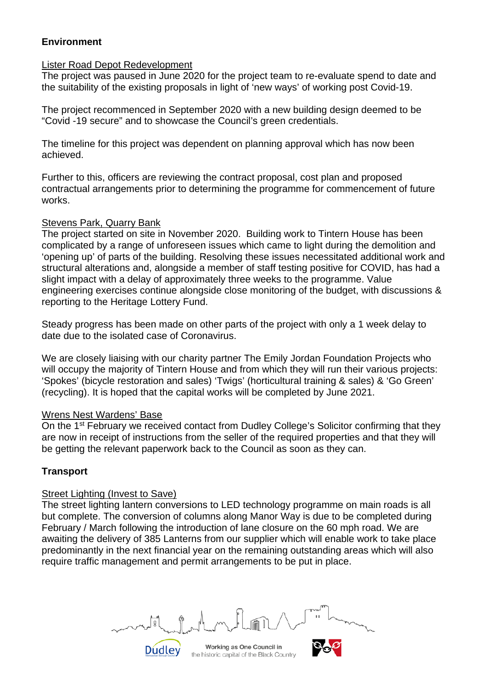# **Environment**

#### Lister Road Depot Redevelopment

The project was paused in June 2020 for the project team to re-evaluate spend to date and the suitability of the existing proposals in light of 'new ways' of working post Covid-19.

The project recommenced in September 2020 with a new building design deemed to be "Covid -19 secure" and to showcase the Council's green credentials.

The timeline for this project was dependent on planning approval which has now been achieved.

Further to this, officers are reviewing the contract proposal, cost plan and proposed contractual arrangements prior to determining the programme for commencement of future works.

#### Stevens Park, Quarry Bank

The project started on site in November 2020. Building work to Tintern House has been complicated by a range of unforeseen issues which came to light during the demolition and 'opening up' of parts of the building. Resolving these issues necessitated additional work and structural alterations and, alongside a member of staff testing positive for COVID, has had a slight impact with a delay of approximately three weeks to the programme. Value engineering exercises continue alongside close monitoring of the budget, with discussions & reporting to the Heritage Lottery Fund.

Steady progress has been made on other parts of the project with only a 1 week delay to date due to the isolated case of Coronavirus.

We are closely liaising with our charity partner The Emily Jordan Foundation Projects who will occupy the majority of Tintern House and from which they will run their various projects: 'Spokes' (bicycle restoration and sales) 'Twigs' (horticultural training & sales) & 'Go Green' (recycling). It is hoped that the capital works will be completed by June 2021.

#### Wrens Nest Wardens' Base

On the 1<sup>st</sup> February we received contact from Dudley College's Solicitor confirming that they are now in receipt of instructions from the seller of the required properties and that they will be getting the relevant paperwork back to the Council as soon as they can.

# **Transport**

#### Street Lighting (Invest to Save)

The street lighting lantern conversions to LED technology programme on main roads is all but complete. The conversion of columns along Manor Way is due to be completed during February / March following the introduction of lane closure on the 60 mph road. We are awaiting the delivery of 385 Lanterns from our supplier which will enable work to take place predominantly in the next financial year on the remaining outstanding areas which will also require traffic management and permit arrangements to be put in place.

Working as One Council in the historic capital of the Black Country

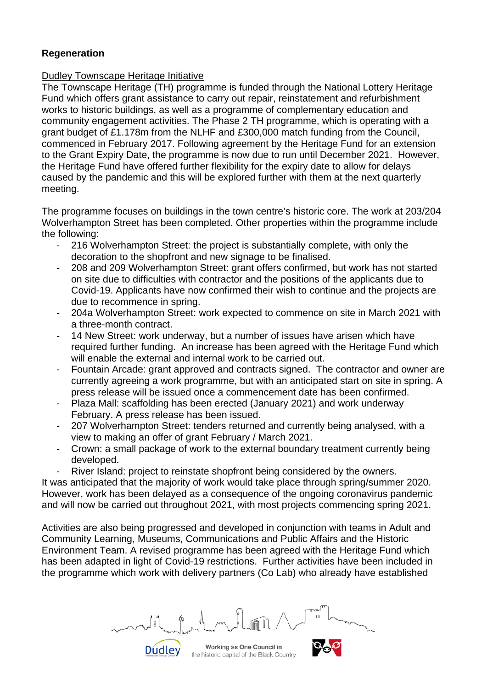# **Regeneration**

# Dudley Townscape Heritage Initiative

The Townscape Heritage (TH) programme is funded through the National Lottery Heritage Fund which offers grant assistance to carry out repair, reinstatement and refurbishment works to historic buildings, as well as a programme of complementary education and community engagement activities. The Phase 2 TH programme, which is operating with a grant budget of £1.178m from the NLHF and £300,000 match funding from the Council, commenced in February 2017. Following agreement by the Heritage Fund for an extension to the Grant Expiry Date, the programme is now due to run until December 2021. However, the Heritage Fund have offered further flexibility for the expiry date to allow for delays caused by the pandemic and this will be explored further with them at the next quarterly meeting.

The programme focuses on buildings in the town centre's historic core. The work at 203/204 Wolverhampton Street has been completed. Other properties within the programme include the following:

- 216 Wolverhampton Street: the project is substantially complete, with only the decoration to the shopfront and new signage to be finalised.
- 208 and 209 Wolverhampton Street: grant offers confirmed, but work has not started on site due to difficulties with contractor and the positions of the applicants due to Covid-19. Applicants have now confirmed their wish to continue and the projects are due to recommence in spring.
- 204a Wolverhampton Street: work expected to commence on site in March 2021 with a three-month contract.
- 14 New Street: work underway, but a number of issues have arisen which have required further funding. An increase has been agreed with the Heritage Fund which will enable the external and internal work to be carried out.
- Fountain Arcade: grant approved and contracts signed. The contractor and owner are currently agreeing a work programme, but with an anticipated start on site in spring. A press release will be issued once a commencement date has been confirmed.
- Plaza Mall: scaffolding has been erected (January 2021) and work underway February. A press release has been issued.
- 207 Wolverhampton Street: tenders returned and currently being analysed, with a view to making an offer of grant February / March 2021.
- Crown: a small package of work to the external boundary treatment currently being developed.
- River Island: project to reinstate shopfront being considered by the owners.

It was anticipated that the majority of work would take place through spring/summer 2020. However, work has been delayed as a consequence of the ongoing coronavirus pandemic and will now be carried out throughout 2021, with most projects commencing spring 2021.

Activities are also being progressed and developed in conjunction with teams in Adult and Community Learning, Museums, Communications and Public Affairs and the Historic Environment Team. A revised programme has been agreed with the Heritage Fund which has been adapted in light of Covid-19 restrictions. Further activities have been included in the programme which work with delivery partners (Co Lab) who already have established

Working as One Council in the historic capital of the Black Country

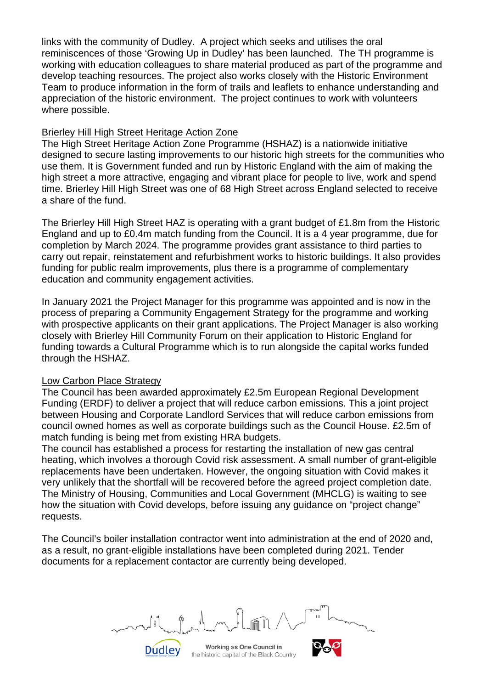links with the community of Dudley. A project which seeks and utilises the oral reminiscences of those 'Growing Up in Dudley' has been launched. The TH programme is working with education colleagues to share material produced as part of the programme and develop teaching resources. The project also works closely with the Historic Environment Team to produce information in the form of trails and leaflets to enhance understanding and appreciation of the historic environment. The project continues to work with volunteers where possible.

# Brierley Hill High Street Heritage Action Zone

The High Street Heritage Action Zone Programme (HSHAZ) is a nationwide initiative designed to secure lasting improvements to our historic high streets for the communities who use them. It is Government funded and run by Historic England with the aim of making the high street a more attractive, engaging and vibrant place for people to live, work and spend time. Brierley Hill High Street was one of 68 High Street across England selected to receive a share of the fund.

The Brierley Hill High Street HAZ is operating with a grant budget of £1.8m from the Historic England and up to £0.4m match funding from the Council. It is a 4 year programme, due for completion by March 2024. The programme provides grant assistance to third parties to carry out repair, reinstatement and refurbishment works to historic buildings. It also provides funding for public realm improvements, plus there is a programme of complementary education and community engagement activities.

In January 2021 the Project Manager for this programme was appointed and is now in the process of preparing a Community Engagement Strategy for the programme and working with prospective applicants on their grant applications. The Project Manager is also working closely with Brierley Hill Community Forum on their application to Historic England for funding towards a Cultural Programme which is to run alongside the capital works funded through the HSHAZ.

#### Low Carbon Place Strategy

The Council has been awarded approximately £2.5m European Regional Development Funding (ERDF) to deliver a project that will reduce carbon emissions. This a joint project between Housing and Corporate Landlord Services that will reduce carbon emissions from council owned homes as well as corporate buildings such as the Council House. £2.5m of match funding is being met from existing HRA budgets.

The council has established a process for restarting the installation of new gas central heating, which involves a thorough Covid risk assessment. A small number of grant-eligible replacements have been undertaken. However, the ongoing situation with Covid makes it very unlikely that the shortfall will be recovered before the agreed project completion date. The Ministry of Housing, Communities and Local Government (MHCLG) is waiting to see how the situation with Covid develops, before issuing any guidance on "project change" requests.

The Council's boiler installation contractor went into administration at the end of 2020 and, as a result, no grant-eligible installations have been completed during 2021. Tender documents for a replacement contactor are currently being developed.

Working as One Council in the historic capital of the Black Country

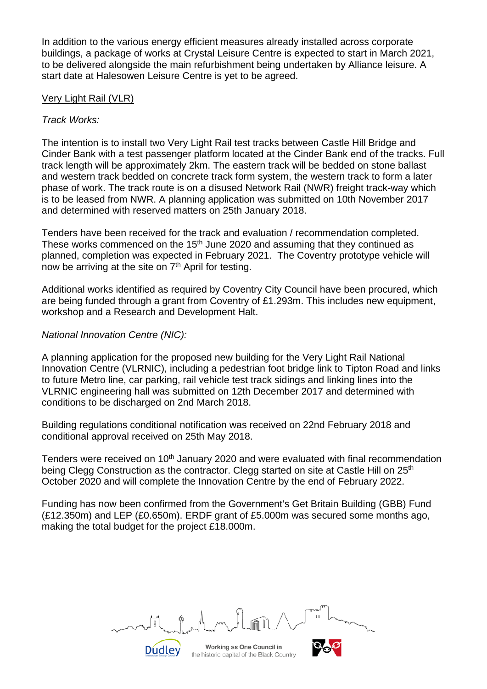In addition to the various energy efficient measures already installed across corporate buildings, a package of works at Crystal Leisure Centre is expected to start in March 2021, to be delivered alongside the main refurbishment being undertaken by Alliance leisure. A start date at Halesowen Leisure Centre is yet to be agreed.

#### Very Light Rail (VLR)

# *Track Works:*

The intention is to install two Very Light Rail test tracks between Castle Hill Bridge and Cinder Bank with a test passenger platform located at the Cinder Bank end of the tracks. Full track length will be approximately 2km. The eastern track will be bedded on stone ballast and western track bedded on concrete track form system, the western track to form a later phase of work. The track route is on a disused Network Rail (NWR) freight track-way which is to be leased from NWR. A planning application was submitted on 10th November 2017 and determined with reserved matters on 25th January 2018.

Tenders have been received for the track and evaluation / recommendation completed. These works commenced on the  $15<sup>th</sup>$  June 2020 and assuming that they continued as planned, completion was expected in February 2021. The Coventry prototype vehicle will now be arriving at the site on  $7<sup>th</sup>$  April for testing.

Additional works identified as required by Coventry City Council have been procured, which are being funded through a grant from Coventry of £1.293m. This includes new equipment, workshop and a Research and Development Halt.

# *National Innovation Centre (NIC):*

A planning application for the proposed new building for the Very Light Rail National Innovation Centre (VLRNIC), including a pedestrian foot bridge link to Tipton Road and links to future Metro line, car parking, rail vehicle test track sidings and linking lines into the VLRNIC engineering hall was submitted on 12th December 2017 and determined with conditions to be discharged on 2nd March 2018.

Building regulations conditional notification was received on 22nd February 2018 and conditional approval received on 25th May 2018.

Tenders were received on 10<sup>th</sup> January 2020 and were evaluated with final recommendation being Clegg Construction as the contractor. Clegg started on site at Castle Hill on 25<sup>th</sup> October 2020 and will complete the Innovation Centre by the end of February 2022.

Funding has now been confirmed from the Government's Get Britain Building (GBB) Fund (£12.350m) and LEP (£0.650m). ERDF grant of £5.000m was secured some months ago, making the total budget for the project £18.000m.

Working as One Council in the historic capital of the Black Country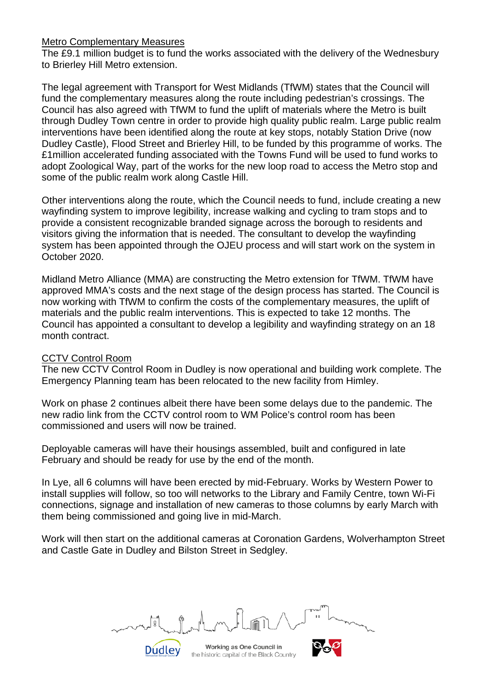#### Metro Complementary Measures

The £9.1 million budget is to fund the works associated with the delivery of the Wednesbury to Brierley Hill Metro extension.

The legal agreement with Transport for West Midlands (TfWM) states that the Council will fund the complementary measures along the route including pedestrian's crossings. The Council has also agreed with TfWM to fund the uplift of materials where the Metro is built through Dudley Town centre in order to provide high quality public realm. Large public realm interventions have been identified along the route at key stops, notably Station Drive (now Dudley Castle), Flood Street and Brierley Hill, to be funded by this programme of works. The £1million accelerated funding associated with the Towns Fund will be used to fund works to adopt Zoological Way, part of the works for the new loop road to access the Metro stop and some of the public realm work along Castle Hill.

Other interventions along the route, which the Council needs to fund, include creating a new wayfinding system to improve legibility, increase walking and cycling to tram stops and to provide a consistent recognizable branded signage across the borough to residents and visitors giving the information that is needed. The consultant to develop the wayfinding system has been appointed through the OJEU process and will start work on the system in October 2020.

Midland Metro Alliance (MMA) are constructing the Metro extension for TfWM. TfWM have approved MMA's costs and the next stage of the design process has started. The Council is now working with TfWM to confirm the costs of the complementary measures, the uplift of materials and the public realm interventions. This is expected to take 12 months. The Council has appointed a consultant to develop a legibility and wayfinding strategy on an 18 month contract.

#### CCTV Control Room

The new CCTV Control Room in Dudley is now operational and building work complete. The Emergency Planning team has been relocated to the new facility from Himley.

Work on phase 2 continues albeit there have been some delays due to the pandemic. The new radio link from the CCTV control room to WM Police's control room has been commissioned and users will now be trained.

Deployable cameras will have their housings assembled, built and configured in late February and should be ready for use by the end of the month.

In Lye, all 6 columns will have been erected by mid-February. Works by Western Power to install supplies will follow, so too will networks to the Library and Family Centre, town Wi-Fi connections, signage and installation of new cameras to those columns by early March with them being commissioned and going live in mid-March.

Work will then start on the additional cameras at Coronation Gardens, Wolverhampton Street and Castle Gate in Dudley and Bilston Street in Sedgley.

Working as One Council in the historic capital of the Black Country

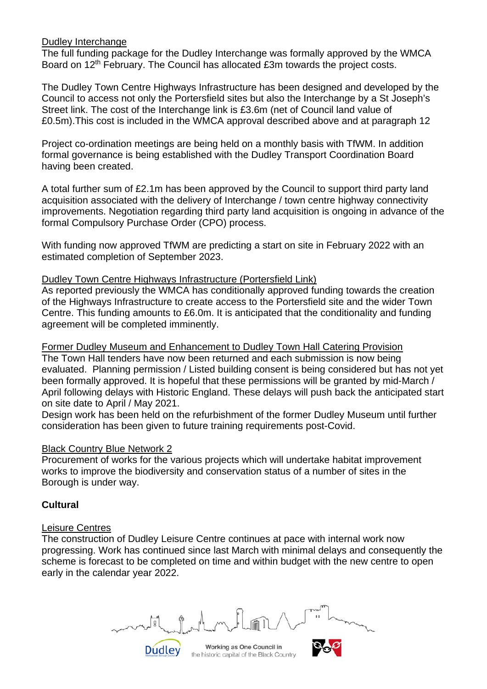#### Dudley Interchange

The full funding package for the Dudley Interchange was formally approved by the WMCA Board on 12<sup>th</sup> February. The Council has allocated £3m towards the project costs.

The Dudley Town Centre Highways Infrastructure has been designed and developed by the Council to access not only the Portersfield sites but also the Interchange by a St Joseph's Street link. The cost of the Interchange link is £3.6m (net of Council land value of £0.5m).This cost is included in the WMCA approval described above and at paragraph 12

Project co-ordination meetings are being held on a monthly basis with TfWM. In addition formal governance is being established with the Dudley Transport Coordination Board having been created.

A total further sum of £2.1m has been approved by the Council to support third party land acquisition associated with the delivery of Interchange / town centre highway connectivity improvements. Negotiation regarding third party land acquisition is ongoing in advance of the formal Compulsory Purchase Order (CPO) process.

With funding now approved TfWM are predicting a start on site in February 2022 with an estimated completion of September 2023.

#### Dudley Town Centre Highways Infrastructure (Portersfield Link)

As reported previously the WMCA has conditionally approved funding towards the creation of the Highways Infrastructure to create access to the Portersfield site and the wider Town Centre. This funding amounts to £6.0m. It is anticipated that the conditionality and funding agreement will be completed imminently.

Former Dudley Museum and Enhancement to Dudley Town Hall Catering Provision

The Town Hall tenders have now been returned and each submission is now being evaluated. Planning permission / Listed building consent is being considered but has not yet been formally approved. It is hopeful that these permissions will be granted by mid-March / April following delays with Historic England. These delays will push back the anticipated start on site date to April / May 2021.

Design work has been held on the refurbishment of the former Dudley Museum until further consideration has been given to future training requirements post-Covid.

#### Black Country Blue Network 2

Procurement of works for the various projects which will undertake habitat improvement works to improve the biodiversity and conservation status of a number of sites in the Borough is under way.

# **Cultural**

#### Leisure Centres

The construction of Dudley Leisure Centre continues at pace with internal work now progressing. Work has continued since last March with minimal delays and consequently the scheme is forecast to be completed on time and within budget with the new centre to open early in the calendar year 2022.

Working as One Council in the historic capital of the Black Country

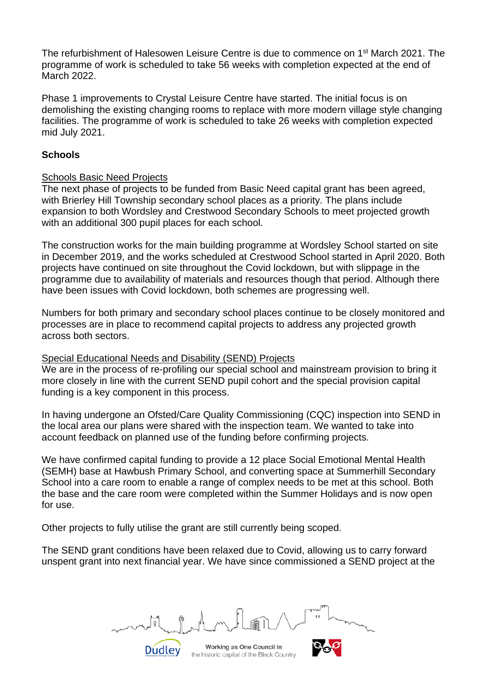The refurbishment of Halesowen Leisure Centre is due to commence on 1st March 2021. The programme of work is scheduled to take 56 weeks with completion expected at the end of March 2022.

Phase 1 improvements to Crystal Leisure Centre have started. The initial focus is on demolishing the existing changing rooms to replace with more modern village style changing facilities. The programme of work is scheduled to take 26 weeks with completion expected mid July 2021.

# **Schools**

#### Schools Basic Need Projects

The next phase of projects to be funded from Basic Need capital grant has been agreed, with Brierley Hill Township secondary school places as a priority. The plans include expansion to both Wordsley and Crestwood Secondary Schools to meet projected growth with an additional 300 pupil places for each school.

The construction works for the main building programme at Wordsley School started on site in December 2019, and the works scheduled at Crestwood School started in April 2020. Both projects have continued on site throughout the Covid lockdown, but with slippage in the programme due to availability of materials and resources though that period. Although there have been issues with Covid lockdown, both schemes are progressing well.

Numbers for both primary and secondary school places continue to be closely monitored and processes are in place to recommend capital projects to address any projected growth across both sectors.

# Special Educational Needs and Disability (SEND) Projects

We are in the process of re-profiling our special school and mainstream provision to bring it more closely in line with the current SEND pupil cohort and the special provision capital funding is a key component in this process.

In having undergone an Ofsted/Care Quality Commissioning (CQC) inspection into SEND in the local area our plans were shared with the inspection team. We wanted to take into account feedback on planned use of the funding before confirming projects.

We have confirmed capital funding to provide a 12 place Social Emotional Mental Health (SEMH) base at Hawbush Primary School, and converting space at Summerhill Secondary School into a care room to enable a range of complex needs to be met at this school. Both the base and the care room were completed within the Summer Holidays and is now open for use.

Other projects to fully utilise the grant are still currently being scoped.

The SEND grant conditions have been relaxed due to Covid, allowing us to carry forward unspent grant into next financial year. We have since commissioned a SEND project at the

**Dudley**